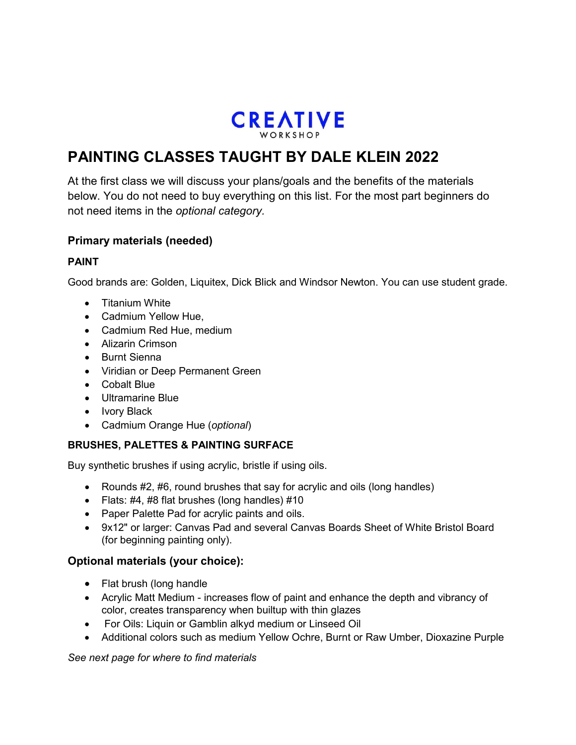

# **PAINTING CLASSES TAUGHT BY DALE KLEIN 2022**

At the first class we will discuss your plans/goals and the benefits of the materials below. You do not need to buy everything on this list. For the most part beginners do not need items in the *optional category.*

## **Primary materials (needed)**

## **PAINT**

Good brands are: Golden, Liquitex, Dick Blick and Windsor Newton. You can use student grade.

- Titanium White
- Cadmium Yellow Hue,
- Cadmium Red Hue, medium
- Alizarin Crimson
- Burnt Sienna
- Viridian or Deep Permanent Green
- Cobalt Blue
- Ultramarine Blue
- Ivory Black
- Cadmium Orange Hue (*optional*)

## **BRUSHES, PALETTES & PAINTING SURFACE**

Buy synthetic brushes if using acrylic, bristle if using oils.

- Rounds #2, #6, round brushes that say for acrylic and oils (long handles)
- Flats: #4, #8 flat brushes (long handles) #10
- Paper Palette Pad for acrylic paints and oils.
- 9x12" or larger: Canvas Pad and several Canvas Boards Sheet of White Bristol Board (for beginning painting only).

## **Optional materials (your choice):**

- Flat brush (long handle
- Acrylic Matt Medium increases flow of paint and enhance the depth and vibrancy of color, creates transparency when builtup with thin glazes
- For Oils: Liquin or Gamblin alkyd medium or Linseed Oil
- Additional colors such as medium Yellow Ochre, Burnt or Raw Umber, Dioxazine Purple

## *See next page for where to find materials*